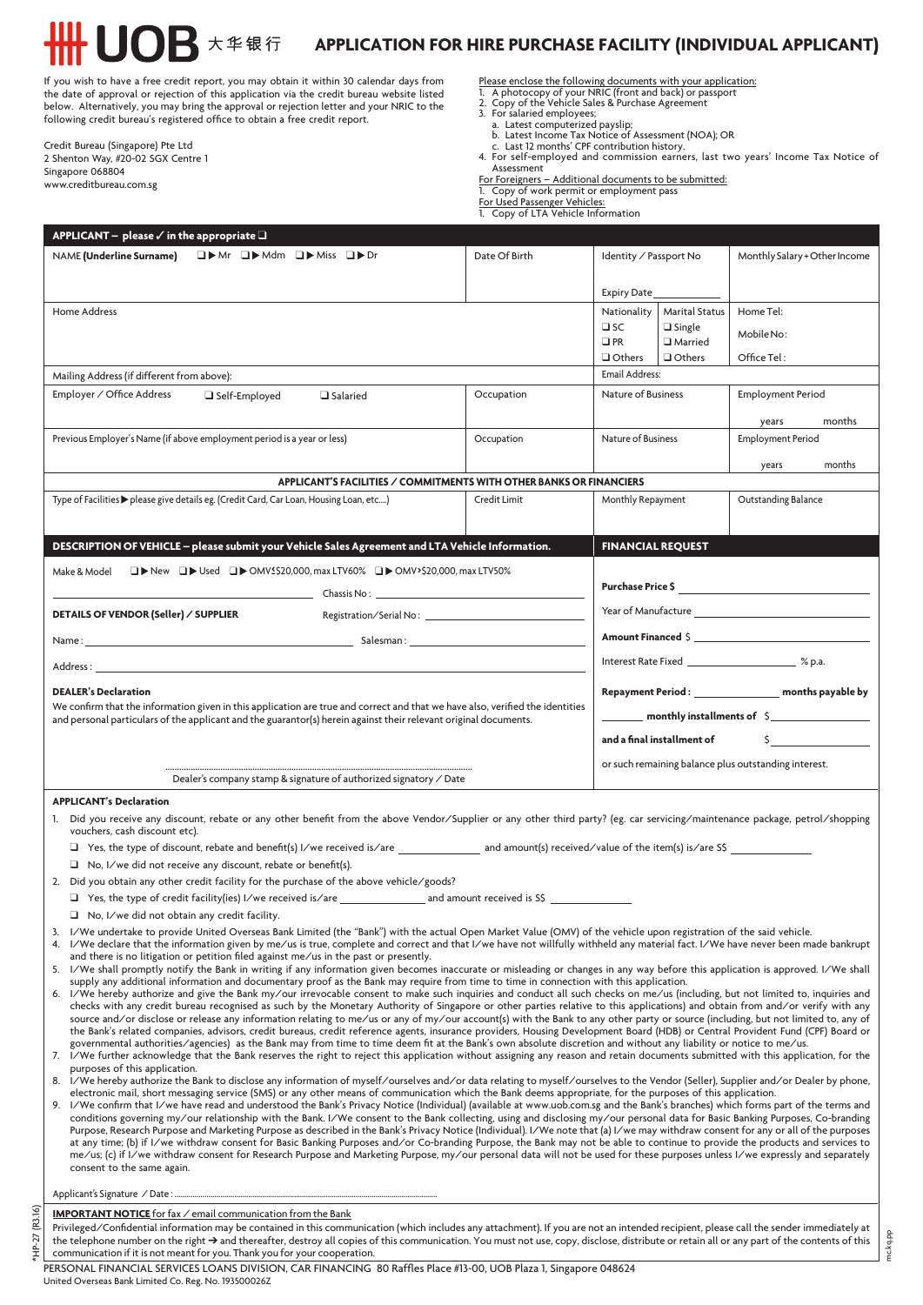If you wish to have a free credit report, you may obtain it within 30 calendar days from the date of approval or rejection of this application via the credit bureau website listed below. Alternatively, you may bring the approval or rejection letter and your NRIC to the following credit bureau's registered office to obtain a free credit report.

**OB** 大华银行

Credit Bureau (Singapore) Pte Ltd 2 Shenton Way, #20-02 SGX Centre 1 Singapore 068804 www.creditbureau.com.sg

**APPLICATION FOR HIRE PURCHASE FACILITY (INDIVIDUAL APPLICANT)**

Please enclose the following documents with your application:<br>1. A photocopy of your NRIC (front and back) or passport<br>2. Copy of the Vehicle Sales & Purchase Agreement<br>3. For salaried employees;

- 
- 
- 
- a. Latest computerized payslip;<br>b. Latest Income Tax Notice of Assessment (NOA); OR<br>c. Last 12 months' CPF contribution history.<br>4. For self-employed and commission earners, last two years' Income Tax Notice of

Assessment

For Foreigners – Additional documents to be submitted: 1. Copy of work permit or employment pass

For Used Passenger Vehicles: 1. Copy of LTA Vehicle Information

| <code>APPLICANT</code> $-$ please $\checkmark$ in the appropriate $\Box$                                                                                                                                                                                                                                                                                            |                                                                                                    |                                                                                                                                                                                                                                                                                                                                |                                                      |                               |  |  |  |  |
|---------------------------------------------------------------------------------------------------------------------------------------------------------------------------------------------------------------------------------------------------------------------------------------------------------------------------------------------------------------------|----------------------------------------------------------------------------------------------------|--------------------------------------------------------------------------------------------------------------------------------------------------------------------------------------------------------------------------------------------------------------------------------------------------------------------------------|------------------------------------------------------|-------------------------------|--|--|--|--|
| <b>QDMr QDMdm QDMiss QDDr</b><br><b>NAME</b> (Underline Surname)                                                                                                                                                                                                                                                                                                    | Date Of Birth                                                                                      | Identity / Passport No                                                                                                                                                                                                                                                                                                         |                                                      | Monthly Salary + Other Income |  |  |  |  |
|                                                                                                                                                                                                                                                                                                                                                                     |                                                                                                    |                                                                                                                                                                                                                                                                                                                                |                                                      |                               |  |  |  |  |
|                                                                                                                                                                                                                                                                                                                                                                     |                                                                                                    | Expiry Date_                                                                                                                                                                                                                                                                                                                   |                                                      |                               |  |  |  |  |
| Home Address                                                                                                                                                                                                                                                                                                                                                        |                                                                                                    | Nationality<br>$\square$ SC                                                                                                                                                                                                                                                                                                    | <b>Marital Status</b><br>$\Box$ Single               | Home Tel:                     |  |  |  |  |
|                                                                                                                                                                                                                                                                                                                                                                     |                                                                                                    | $\Box$ PR                                                                                                                                                                                                                                                                                                                      | Married                                              | Mobile No:                    |  |  |  |  |
|                                                                                                                                                                                                                                                                                                                                                                     |                                                                                                    | $\Box$ Others                                                                                                                                                                                                                                                                                                                  | Others                                               | Office Tel:                   |  |  |  |  |
| Mailing Address (if different from above):                                                                                                                                                                                                                                                                                                                          |                                                                                                    | <b>Email Address:</b>                                                                                                                                                                                                                                                                                                          |                                                      |                               |  |  |  |  |
| Employer / Office Address<br>Self-Employed<br>□ Salaried                                                                                                                                                                                                                                                                                                            | Occupation                                                                                         | Nature of Business                                                                                                                                                                                                                                                                                                             |                                                      | <b>Employment Period</b>      |  |  |  |  |
|                                                                                                                                                                                                                                                                                                                                                                     |                                                                                                    | years                                                                                                                                                                                                                                                                                                                          |                                                      | months                        |  |  |  |  |
| Previous Employer's Name (if above employment period is a year or less)                                                                                                                                                                                                                                                                                             | Occupation                                                                                         | Nature of Business<br><b>Employment Period</b>                                                                                                                                                                                                                                                                                 |                                                      |                               |  |  |  |  |
|                                                                                                                                                                                                                                                                                                                                                                     |                                                                                                    |                                                                                                                                                                                                                                                                                                                                |                                                      | months<br>years               |  |  |  |  |
| APPLICANT'S FACILITIES / COMMITMENTS WITH OTHER BANKS OR FINANCIERS                                                                                                                                                                                                                                                                                                 |                                                                                                    |                                                                                                                                                                                                                                                                                                                                |                                                      |                               |  |  |  |  |
| Type of Facilities▶please give details eg. (Credit Card, Car Loan, Housing Loan, etc)                                                                                                                                                                                                                                                                               | Credit Limit                                                                                       | Monthly Repayment                                                                                                                                                                                                                                                                                                              |                                                      | Outstanding Balance           |  |  |  |  |
|                                                                                                                                                                                                                                                                                                                                                                     |                                                                                                    |                                                                                                                                                                                                                                                                                                                                |                                                      |                               |  |  |  |  |
| DESCRIPTION OF VEHICLE - please submit your Vehicle Sales Agreement and LTA Vehicle Information.                                                                                                                                                                                                                                                                    |                                                                                                    | <b>FINANCIAL REQUEST</b>                                                                                                                                                                                                                                                                                                       |                                                      |                               |  |  |  |  |
|                                                                                                                                                                                                                                                                                                                                                                     |                                                                                                    |                                                                                                                                                                                                                                                                                                                                |                                                      |                               |  |  |  |  |
|                                                                                                                                                                                                                                                                                                                                                                     | $\Box$ New $\Box$ Used $\Box$ MY1520,000, max LTV60% $\Box$ MY1620,000, max LTV50%<br>Make & Model |                                                                                                                                                                                                                                                                                                                                |                                                      |                               |  |  |  |  |
| DETAILS OF VENDOR (Seller) / SUPPLIER<br>Registration/Serial No: 2008 2009 2012 2022 2023 2024 2022 2023 2024 2022 2023 2024 2022 2023 2024 20                                                                                                                                                                                                                      |                                                                                                    |                                                                                                                                                                                                                                                                                                                                |                                                      |                               |  |  |  |  |
|                                                                                                                                                                                                                                                                                                                                                                     |                                                                                                    | Amount Financed States and States and States and States and States and States and States and States and States                                                                                                                                                                                                                 |                                                      |                               |  |  |  |  |
| Address : the contract of the contract of the contract of the contract of the contract of the contract of the contract of the contract of the contract of the contract of the contract of the contract of the contract of the                                                                                                                                       |                                                                                                    |                                                                                                                                                                                                                                                                                                                                |                                                      |                               |  |  |  |  |
|                                                                                                                                                                                                                                                                                                                                                                     |                                                                                                    |                                                                                                                                                                                                                                                                                                                                |                                                      |                               |  |  |  |  |
| <b>DEALER's Declaration</b><br>We confirm that the information given in this application are true and correct and that we have also, verified the identities<br>and personal particulars of the applicant and the guarantor(s) herein against their relevant original documents.                                                                                    |                                                                                                    | Repayment Period : ___________________ months payable by                                                                                                                                                                                                                                                                       |                                                      |                               |  |  |  |  |
|                                                                                                                                                                                                                                                                                                                                                                     |                                                                                                    |                                                                                                                                                                                                                                                                                                                                |                                                      |                               |  |  |  |  |
|                                                                                                                                                                                                                                                                                                                                                                     |                                                                                                    | and a final installment of<br>$\mathsf{S}$ and $\mathsf{S}$ and $\mathsf{S}$ are $\mathsf{S}$ and $\mathsf{S}$ and $\mathsf{S}$ are $\mathsf{S}$ and $\mathsf{S}$ are $\mathsf{S}$ and $\mathsf{S}$ are $\mathsf{S}$ and $\mathsf{S}$ are $\mathsf{S}$ and $\mathsf{S}$ are $\mathsf{S}$ and $\mathsf{S}$ are $\mathsf{S}$ and |                                                      |                               |  |  |  |  |
|                                                                                                                                                                                                                                                                                                                                                                     |                                                                                                    |                                                                                                                                                                                                                                                                                                                                | or such remaining balance plus outstanding interest. |                               |  |  |  |  |
| Dealer's company stamp & signature of authorized signatory / Date                                                                                                                                                                                                                                                                                                   |                                                                                                    |                                                                                                                                                                                                                                                                                                                                |                                                      |                               |  |  |  |  |
| <b>APPLICANT's Declaration</b>                                                                                                                                                                                                                                                                                                                                      |                                                                                                    |                                                                                                                                                                                                                                                                                                                                |                                                      |                               |  |  |  |  |
| 1. Did you receive any discount, rebate or any other benefit from the above Vendor/Supplier or any other third party? (eg. car servicing/maintenance package, petrol/shopping<br>vouchers, cash discount etc).                                                                                                                                                      |                                                                                                    |                                                                                                                                                                                                                                                                                                                                |                                                      |                               |  |  |  |  |
|                                                                                                                                                                                                                                                                                                                                                                     |                                                                                                    |                                                                                                                                                                                                                                                                                                                                |                                                      |                               |  |  |  |  |
| $\Box$ No, I/we did not receive any discount, rebate or benefit(s).                                                                                                                                                                                                                                                                                                 |                                                                                                    |                                                                                                                                                                                                                                                                                                                                |                                                      |                               |  |  |  |  |
| 2. Did you obtain any other credit facility for the purchase of the above vehicle/goods?                                                                                                                                                                                                                                                                            |                                                                                                    |                                                                                                                                                                                                                                                                                                                                |                                                      |                               |  |  |  |  |
|                                                                                                                                                                                                                                                                                                                                                                     |                                                                                                    |                                                                                                                                                                                                                                                                                                                                |                                                      |                               |  |  |  |  |
| $\Box$ No, I/we did not obtain any credit facility.<br>3. I/We undertake to provide United Overseas Bank Limited (the "Bank") with the actual Open Market Value (OMV) of the vehicle upon registration of the said vehicle.                                                                                                                                         |                                                                                                    |                                                                                                                                                                                                                                                                                                                                |                                                      |                               |  |  |  |  |
| 4. I/We declare that the information given by me/us is true, complete and correct and that I/we have not willfully withheld any material fact. I/We have never been made bankrupt                                                                                                                                                                                   |                                                                                                    |                                                                                                                                                                                                                                                                                                                                |                                                      |                               |  |  |  |  |
| and there is no litigation or petition filed against me/us in the past or presently.<br>5. I/We shall promptly notify the Bank in writing if any information given becomes inaccurate or misleading or changes in any way before this application is approved. I/We shall                                                                                           |                                                                                                    |                                                                                                                                                                                                                                                                                                                                |                                                      |                               |  |  |  |  |
| supply any additional information and documentary proof as the Bank may require from time to time in connection with this application.                                                                                                                                                                                                                              |                                                                                                    |                                                                                                                                                                                                                                                                                                                                |                                                      |                               |  |  |  |  |
| 6. I/We hereby authorize and give the Bank my/our irrevocable consent to make such inquiries and conduct all such checks on me/us (including, but not limited to, inquiries and<br>checks with any credit bureau recognised as such by the Monetary Authority of Singapore or other parties relative to this applications) and obtain from and/or verify with any   |                                                                                                    |                                                                                                                                                                                                                                                                                                                                |                                                      |                               |  |  |  |  |
| source and/or disclose or release any information relating to me/us or any of my/our account(s) with the Bank to any other party or source (including, but not limited to, any of                                                                                                                                                                                   |                                                                                                    |                                                                                                                                                                                                                                                                                                                                |                                                      |                               |  |  |  |  |
| the Bank's related companies, advisors, credit bureaus, credit reference agents, insurance providers, Housing Development Board (HDB) or Central Provident Fund (CPF) Board or<br>governmental authorities/agencies) as the Bank may from time to time deem fit at the Bank's own absolute discretion and without any liability or notice to me/us.                 |                                                                                                    |                                                                                                                                                                                                                                                                                                                                |                                                      |                               |  |  |  |  |
| 7. I/We further acknowledge that the Bank reserves the right to reject this application without assigning any reason and retain documents submitted with this application, for the                                                                                                                                                                                  |                                                                                                    |                                                                                                                                                                                                                                                                                                                                |                                                      |                               |  |  |  |  |
| purposes of this application.<br>8. I/We hereby authorize the Bank to disclose any information of myself/ourselves and/or data relating to myself/ourselves to the Vendor (Seller), Supplier and/or Dealer by phone,                                                                                                                                                |                                                                                                    |                                                                                                                                                                                                                                                                                                                                |                                                      |                               |  |  |  |  |
| electronic mail, short messaging service (SMS) or any other means of communication which the Bank deems appropriate, for the purposes of this application.                                                                                                                                                                                                          |                                                                                                    |                                                                                                                                                                                                                                                                                                                                |                                                      |                               |  |  |  |  |
| 9. I/We confirm that I/we have read and understood the Bank's Privacy Notice (Individual) (available at www.uob.com.sg and the Bank's branches) which forms part of the terms and<br>conditions governing my/our relationship with the Bank. I/We consent to the Bank collecting, using and disclosing my/our personal data for Basic Banking Purposes, Co-branding |                                                                                                    |                                                                                                                                                                                                                                                                                                                                |                                                      |                               |  |  |  |  |
| Purpose, Research Purpose and Marketing Purpose as described in the Bank's Privacy Notice (Individual). I/We note that (a) I/we may withdraw consent for any or all of the purposes                                                                                                                                                                                 |                                                                                                    |                                                                                                                                                                                                                                                                                                                                |                                                      |                               |  |  |  |  |
| at any time; (b) if I/we withdraw consent for Basic Banking Purposes and/or Co-branding Purpose, the Bank may not be able to continue to provide the products and services to<br>me/us; (c) if I/we withdraw consent for Research Purpose and Marketing Purpose, my/our personal data will not be used for these purposes unless I/we expressly and separately      |                                                                                                    |                                                                                                                                                                                                                                                                                                                                |                                                      |                               |  |  |  |  |
| consent to the same again.                                                                                                                                                                                                                                                                                                                                          |                                                                                                    |                                                                                                                                                                                                                                                                                                                                |                                                      |                               |  |  |  |  |
|                                                                                                                                                                                                                                                                                                                                                                     |                                                                                                    |                                                                                                                                                                                                                                                                                                                                |                                                      |                               |  |  |  |  |

## **IMPORTANT NOTICE** for fax / email communication from the Bank

\*HP-27 (R3.16)

(R3.16)  $*HP-27$ 

Privileged/Confidential information may be contained in this communication (which includes any attachment). If you are not an intended recipient, please call the sender immediately at the telephone number on the right → and thereafter, destroy all copies of this communication. You must not use, copy, disclose, distribute or retain all or any part of the contents of this communication if it is not meant for you. Thank you for your cooperation.